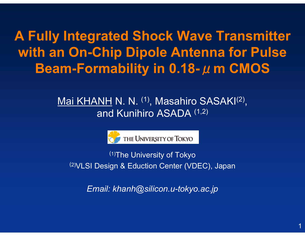**A Fully Integrated Shock Wave Transmitter with an On-Chip Dipole Antenna for Pulse Beam-Formability in 0.18-** μ**m CMOS**

## Mai KHANH N. N. (1), Masahiro SASAKI(2), and Kunihiro ASADA (1,2)



(1)The University of Tokyo (2)VLSI Design & Eduction Center (VDEC), Japan

*Email: khanh@silicon.u-tokyo.ac.jp*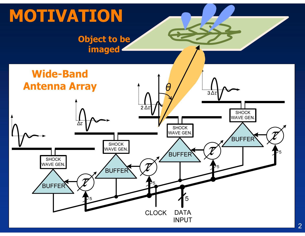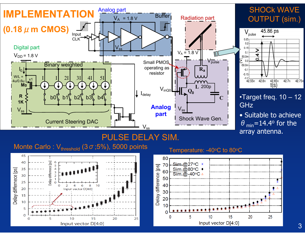

42.75r

3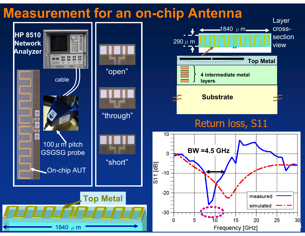# **Measurement for an on-chip Antenna**

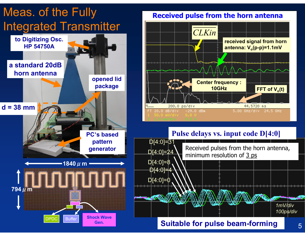

#### **Received pulse from the horn antenna**



### **Pulse delays vs. input code D[4:0]**



### **Suitable for pulse beam-forming**